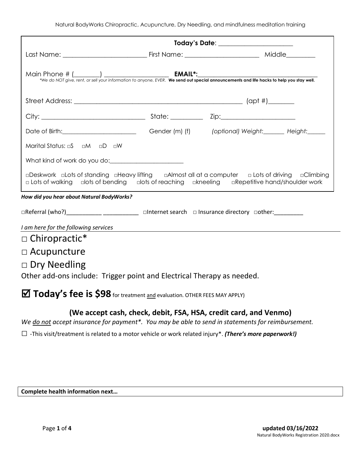|                                                                        | Today's Date: _____________________                                                                                                                                                                                                  |
|------------------------------------------------------------------------|--------------------------------------------------------------------------------------------------------------------------------------------------------------------------------------------------------------------------------------|
|                                                                        |                                                                                                                                                                                                                                      |
|                                                                        |                                                                                                                                                                                                                                      |
|                                                                        |                                                                                                                                                                                                                                      |
|                                                                        |                                                                                                                                                                                                                                      |
|                                                                        | Date of Birth: <u>Cambridge Communication</u> Cender (m) (f) (optional) Weight: Height: Height:                                                                                                                                      |
| Marital Status: aS aM aD aW                                            |                                                                                                                                                                                                                                      |
|                                                                        |                                                                                                                                                                                                                                      |
|                                                                        | □Deskwork □Lots of standing □Heavy lifting □Almost all at a computer □Lots of driving □Climbing<br>□ Lots of walking dots of bending dots of reaching dkneeling dRepetitive hand/shoulder work                                       |
| How did you hear about Natural BodyWorks?                              |                                                                                                                                                                                                                                      |
|                                                                        | □Referral (who?) __________________________________ □Internet search □ Insurance directory □other: __________                                                                                                                        |
| I am here for the following services                                   | <u>and the state of the state of the state of the state of the state of the state of the state of the state of the state of the state of the state of the state of the state of the state of the state of the state of the state</u> |
| $\Box$ Chiropractic*                                                   |                                                                                                                                                                                                                                      |
| $\Box$ Acupuncture                                                     |                                                                                                                                                                                                                                      |
| $\Box$ Dry Needling                                                    |                                                                                                                                                                                                                                      |
| Other add-ons include: Trigger point and Electrical Therapy as needed. |                                                                                                                                                                                                                                      |

**Today's fee is \$98** for treatment and evaluation. OTHER FEES MAY APPLY)

## **(We accept cash, check, debit, FSA, HSA, credit card, and Venmo)**

*We do not accept insurance for payment\*. You may be able to send in statements for reimbursement.* 

□ -This visit/treatment is related to a motor vehicle or work related injury\*. *(There's more paperwork!)*

## **Complete health information next…**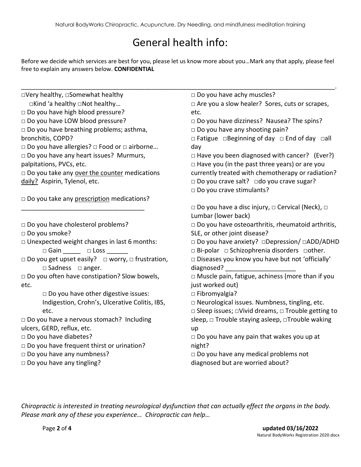## General health info:

Before we decide which services are best for you, please let us know more about you…Mark any that apply, please feel free to explain any answers below. **CONFIDENTIAL**

\_\_\_\_\_\_\_\_\_\_\_\_\_\_\_\_\_\_\_\_\_\_\_\_\_\_\_\_\_\_\_\_\_\_\_\_\_\_\_\_\_\_\_\_\_\_\_\_\_\_\_\_\_\_\_\_\_\_\_\_\_\_\_\_\_\_\_\_\_\_\_\_\_\_\_\_\_\_\_\_\_\_\_\_\_\_\_\_\_. □Very healthy, □Somewhat healthy □Kind 'a healthy □Not healthy…  $\Box$  Do you have high blood pressure? □ Do you have LOW blood pressure? □ Do you have breathing problems; asthma, bronchitis, COPD? □ Do you have allergies? □ Food or □ airborne… □ Do you have any heart issues? Murmurs, palpitations, PVCs, etc.  $\Box$  Do you take any over the counter medications daily? Aspirin, Tylenol, etc.  $\Box$  Do you take any prescription medications? \_\_\_\_\_\_\_\_\_\_\_\_\_\_\_\_\_\_\_\_\_\_\_\_\_\_\_\_\_\_\_\_\_\_\_ □ Do you have cholesterol problems? □ Do you smoke?  $\Box$  Unexpected weight changes in last 6 months: □ Gain □ Loss □ Do you get upset easily? □ worry, □ frustration, □ Sadness □ anger. □ Do you often have constipation? Slow bowels, etc.  $\square$  Do you have other digestive issues: Indigestion, Crohn's, Ulcerative Colitis, IBS, etc. □ Do you have a nervous stomach? Including ulcers, GERD, reflux, etc. □ Do you have diabetes? □ Do you have frequent thirst or urination? □ Do you have any numbness? □ Do you have any tingling? □ Do you have achy muscles? □ Are you a slow healer? Sores, cuts or scrapes, etc. □ Do you have dizziness? Nausea? The spins? □ Do you have any shooting pain? □ Fatigue □Beginning of day □ End of day □all day □ Have you been diagnosed with cancer? (Ever?)  $\Box$  Have you (in the past three years) or are you currently treated with chemotherapy or radiation? □ Do you crave salt? □do you crave sugar? □ Do you crave stimulants? □ Do you have a disc injury, □ Cervical (Neck), □ Lumbar (lower back) □ Do you have osteoarthritis, rheumatoid arthritis, SLE, or other joint disease? □ Do you have anxiety? □Depression/ □ADD/ADHD □ Bi-polar □ Schizophrenia disorders □other.  $\square$  Diseases you know you have but not 'officially' diagnosed? □ Muscle pain, fatigue, achiness (more than if you just worked out) □ Fibromyalgia? □ Neurological issues. Numbness, tingling, etc. □ Sleep issues; □Vivid dreams, □ Trouble getting to sleep, □ Trouble staying asleep, □Trouble waking up □ Do you have any pain that wakes you up at night? □ Do you have any medical problems not diagnosed but are worried about?

*Chiropractic is interested in treating neurological dysfunction that can actually effect the organs in the body. Please mark any of these you experience… Chiropractic can help…*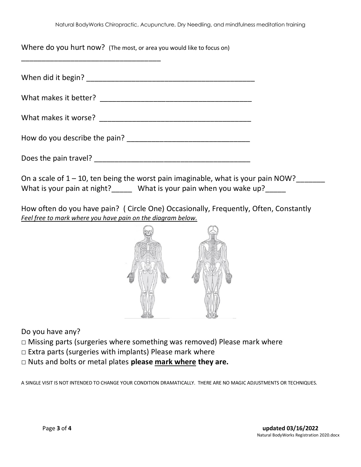Where do you hurt now? (The most, or area you would like to focus on)

| <u> 1989 - Johann John Stoff, deutscher Stoffen und der Stoffen und der Stoffen und der Stoffen und der Stoffen u</u>                                              |  |
|--------------------------------------------------------------------------------------------------------------------------------------------------------------------|--|
|                                                                                                                                                                    |  |
|                                                                                                                                                                    |  |
|                                                                                                                                                                    |  |
|                                                                                                                                                                    |  |
|                                                                                                                                                                    |  |
| On a scale of $1 - 10$ , ten being the worst pain imaginable, what is your pain NOW?<br>What is your pain at night?______ What is your pain when you wake up?_____ |  |

How often do you have pain? ( Circle One) Occasionally, Frequently, Often, Constantly *Feel free to mark where you have pain on the diagram below.* 



Do you have any?

- $\square$  Missing parts (surgeries where something was removed) Please mark where
- □ Extra parts (surgeries with implants) Please mark where
- □ Nuts and bolts or metal plates **please mark where they are.**

A SINGLE VISIT IS NOT INTENDED TO CHANGE YOUR CONDITION DRAMATICALLY. THERE ARE NO MAGIC ADJUSTMENTS OR TECHNIQUES.